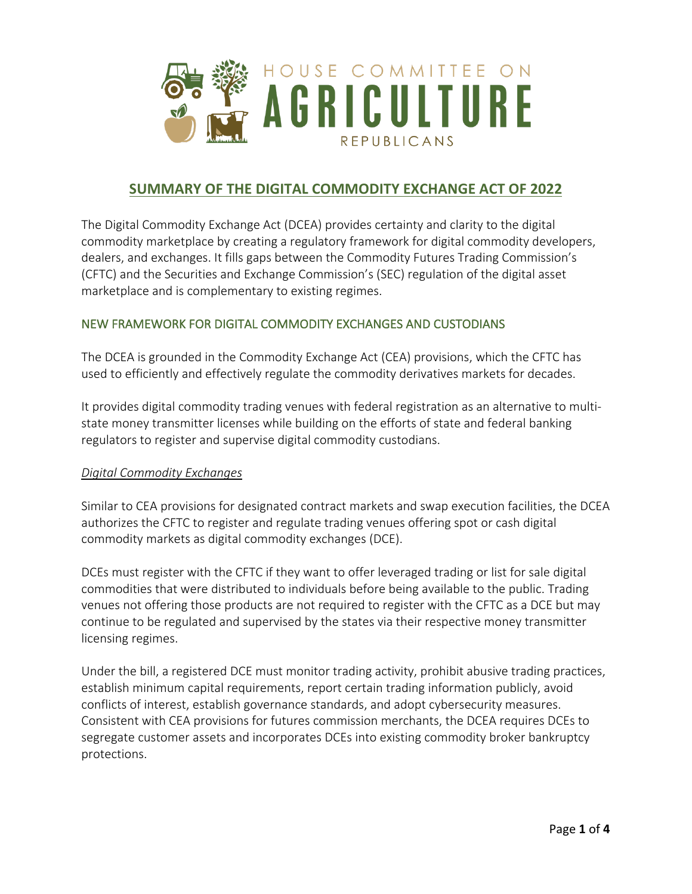

# **SUMMARY OF THE DIGITAL COMMODITY EXCHANGE ACT OF 2022**

The Digital Commodity Exchange Act (DCEA) provides certainty and clarity to the digital commodity marketplace by creating a regulatory framework for digital commodity developers, dealers, and exchanges. It fills gaps between the Commodity Futures Trading Commission's (CFTC) and the Securities and Exchange Commission's (SEC) regulation of the digital asset marketplace and is complementary to existing regimes.

### NEW FRAMEWORK FOR DIGITAL COMMODITY EXCHANGES AND CUSTODIANS

The DCEA is grounded in the Commodity Exchange Act (CEA) provisions, which the CFTC has used to efficiently and effectively regulate the commodity derivatives markets for decades.

It provides digital commodity trading venues with federal registration as an alternative to multistate money transmitter licenses while building on the efforts of state and federal banking regulators to register and supervise digital commodity custodians.

#### *Digital Commodity Exchanges*

Similar to CEA provisions for designated contract markets and swap execution facilities, the DCEA authorizes the CFTC to register and regulate trading venues offering spot or cash digital commodity markets as digital commodity exchanges (DCE).

DCEs must register with the CFTC if they want to offer leveraged trading or list for sale digital commodities that were distributed to individuals before being available to the public. Trading venues not offering those products are not required to register with the CFTC as a DCE but may continue to be regulated and supervised by the states via their respective money transmitter licensing regimes.

Under the bill, a registered DCE must monitor trading activity, prohibit abusive trading practices, establish minimum capital requirements, report certain trading information publicly, avoid conflicts of interest, establish governance standards, and adopt cybersecurity measures. Consistent with CEA provisions for futures commission merchants, the DCEA requires DCEs to segregate customer assets and incorporates DCEs into existing commodity broker bankruptcy protections.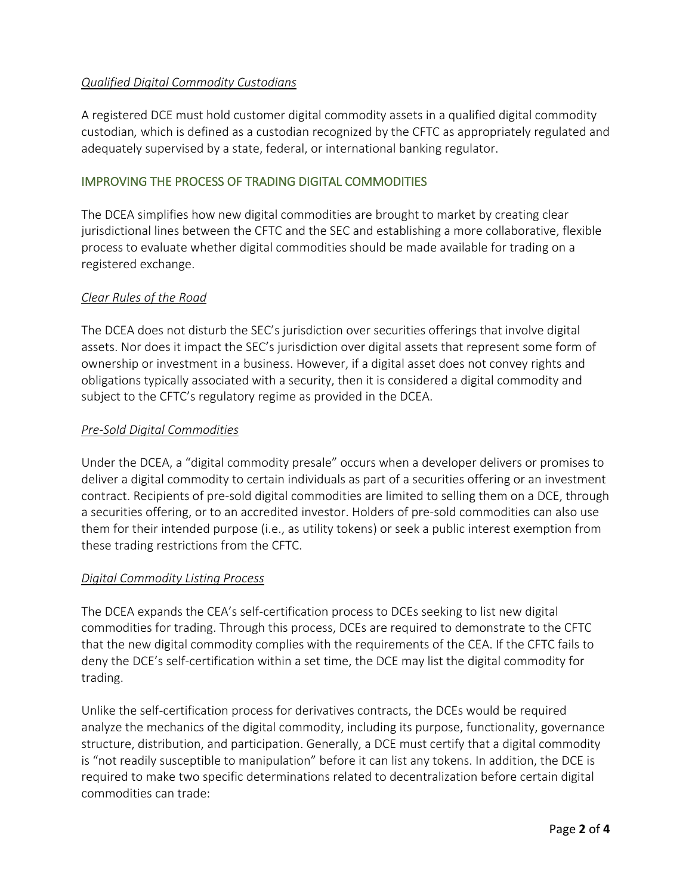## *Qualified Digital Commodity Custodians*

A registered DCE must hold customer digital commodity assets in a qualified digital commodity custodian*,* which is defined as a custodian recognized by the CFTC as appropriately regulated and adequately supervised by a state, federal, or international banking regulator.

### IMPROVING THE PROCESS OF TRADING DIGITAL COMMODITIES

The DCEA simplifies how new digital commodities are brought to market by creating clear jurisdictional lines between the CFTC and the SEC and establishing a more collaborative, flexible process to evaluate whether digital commodities should be made available for trading on a registered exchange.

### *Clear Rules of the Road*

The DCEA does not disturb the SEC's jurisdiction over securities offerings that involve digital assets. Nor does it impact the SEC's jurisdiction over digital assets that represent some form of ownership or investment in a business. However, if a digital asset does not convey rights and obligations typically associated with a security, then it is considered a digital commodity and subject to the CFTC's regulatory regime as provided in the DCEA.

### *Pre-Sold Digital Commodities*

Under the DCEA, a "digital commodity presale" occurs when a developer delivers or promises to deliver a digital commodity to certain individuals as part of a securities offering or an investment contract. Recipients of pre-sold digital commodities are limited to selling them on a DCE, through a securities offering, or to an accredited investor. Holders of pre-sold commodities can also use them for their intended purpose (i.e., as utility tokens) or seek a public interest exemption from these trading restrictions from the CFTC.

### *Digital Commodity Listing Process*

The DCEA expands the CEA's self-certification process to DCEs seeking to list new digital commodities for trading. Through this process, DCEs are required to demonstrate to the CFTC that the new digital commodity complies with the requirements of the CEA. If the CFTC fails to deny the DCE's self-certification within a set time, the DCE may list the digital commodity for trading.

Unlike the self-certification process for derivatives contracts, the DCEs would be required analyze the mechanics of the digital commodity, including its purpose, functionality, governance structure, distribution, and participation. Generally, a DCE must certify that a digital commodity is "not readily susceptible to manipulation" before it can list any tokens. In addition, the DCE is required to make two specific determinations related to decentralization before certain digital commodities can trade: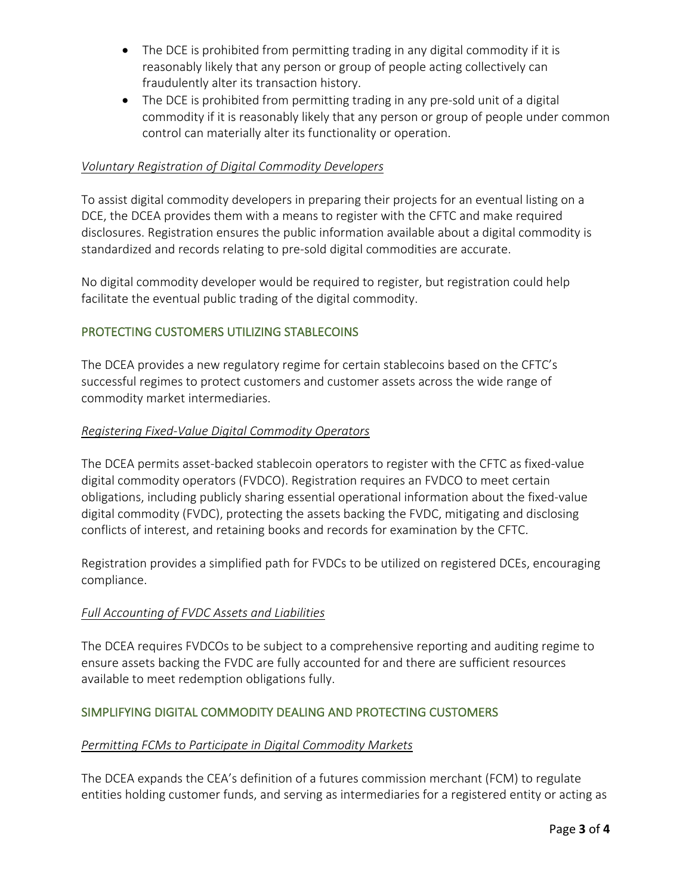- The DCE is prohibited from permitting trading in any digital commodity if it is reasonably likely that any person or group of people acting collectively can fraudulently alter its transaction history.
- The DCE is prohibited from permitting trading in any pre-sold unit of a digital commodity if it is reasonably likely that any person or group of people under common control can materially alter its functionality or operation.

### *Voluntary Registration of Digital Commodity Developers*

To assist digital commodity developers in preparing their projects for an eventual listing on a DCE, the DCEA provides them with a means to register with the CFTC and make required disclosures. Registration ensures the public information available about a digital commodity is standardized and records relating to pre-sold digital commodities are accurate.

No digital commodity developer would be required to register, but registration could help facilitate the eventual public trading of the digital commodity.

## PROTECTING CUSTOMERS UTILIZING STABLECOINS

The DCEA provides a new regulatory regime for certain stablecoins based on the CFTC's successful regimes to protect customers and customer assets across the wide range of commodity market intermediaries.

### *Registering Fixed-Value Digital Commodity Operators*

The DCEA permits asset-backed stablecoin operators to register with the CFTC as fixed-value digital commodity operators (FVDCO). Registration requires an FVDCO to meet certain obligations, including publicly sharing essential operational information about the fixed-value digital commodity (FVDC), protecting the assets backing the FVDC, mitigating and disclosing conflicts of interest, and retaining books and records for examination by the CFTC.

Registration provides a simplified path for FVDCs to be utilized on registered DCEs, encouraging compliance.

### *Full Accounting of FVDC Assets and Liabilities*

The DCEA requires FVDCOs to be subject to a comprehensive reporting and auditing regime to ensure assets backing the FVDC are fully accounted for and there are sufficient resources available to meet redemption obligations fully.

### SIMPLIFYING DIGITAL COMMODITY DEALING AND PROTECTING CUSTOMERS

### *Permitting FCMs to Participate in Digital Commodity Markets*

The DCEA expands the CEA's definition of a futures commission merchant (FCM) to regulate entities holding customer funds, and serving as intermediaries for a registered entity or acting as